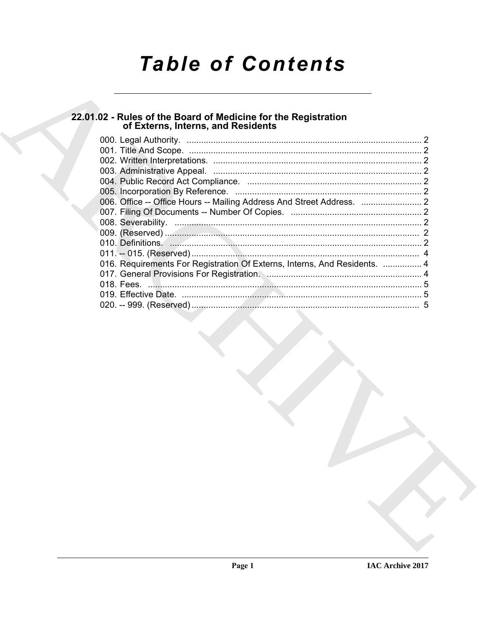# **Table of Contents**

# 22.01.02 - Rules of the Board of Medicine for the Registration<br>of Externs, Interns, and Residents

| 016. Requirements For Registration Of Externs, Interns, And Residents.  4 |  |
|---------------------------------------------------------------------------|--|
|                                                                           |  |
|                                                                           |  |
|                                                                           |  |
|                                                                           |  |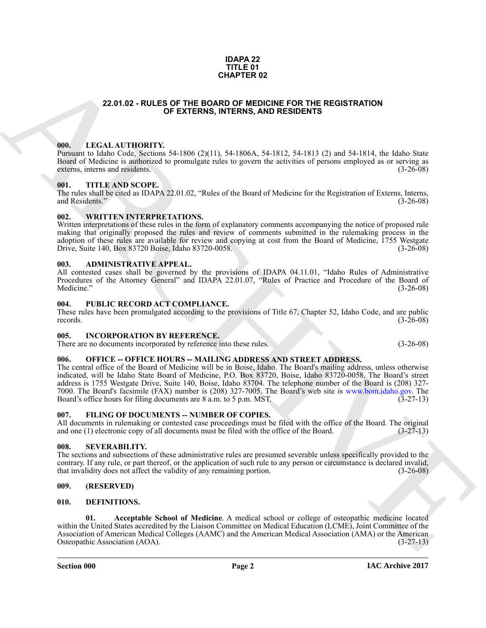#### **IDAPA 22 TITLE 01 CHAPTER 02**

#### **22.01.02 - RULES OF THE BOARD OF MEDICINE FOR THE REGISTRATION OF EXTERNS, INTERNS, AND RESIDENTS**

#### <span id="page-1-1"></span><span id="page-1-0"></span>**000. LEGAL AUTHORITY.**

Pursuant to Idaho Code, Sections 54-1806 (2)(11), 54-1806A, 54-1812, 54-1813 (2) and 54-1814, the Idaho State Board of Medicine is authorized to promulgate rules to govern the activities of persons employed as or serving as externs, interns and residents. (3-26-08) externs, interns and residents.

#### <span id="page-1-2"></span>**001. TITLE AND SCOPE.**

The rules shall be cited as IDAPA 22.01.02, "Rules of the Board of Medicine for the Registration of Externs, Interns, and Residents." (3-26-08) and Residents."

#### <span id="page-1-3"></span>**002. WRITTEN INTERPRETATIONS.**

Written interpretations of these rules in the form of explanatory comments accompanying the notice of proposed rule making that originally proposed the rules and review of comments submitted in the rulemaking process in the adoption of these rules are available for review and copying at cost from the Board of Medicine, 1755 Westgate Drive, Suite 140, Box 83720 Boise, Idaho 83720-0058. (3-26-08) Drive, Suite 140, Box 83720 Boise, Idaho 83720-0058.

#### <span id="page-1-4"></span>**003. ADMINISTRATIVE APPEAL.**

All contested cases shall be governed by the provisions of IDAPA 04.11.01, "Idaho Rules of Administrative Procedures of the Attorney General" and IDAPA 22.01.07, "Rules of Practice and Procedure of the Board of  $\text{Medicine."}$  (3-26-08)

#### <span id="page-1-5"></span>**004. PUBLIC RECORD ACT COMPLIANCE.**

These rules have been promulgated according to the provisions of Title 67, Chapter 52, Idaho Code, and are public records. (3-26-08) records.  $(3-26-08)$ 

#### <span id="page-1-6"></span>**005. INCORPORATION BY REFERENCE.**

There are no documents incorporated by reference into these rules. (3-26-08)

#### <span id="page-1-7"></span>**006. OFFICE -- OFFICE HOURS -- MAILING ADDRESS AND STREET ADDRESS.**

**CHAPTER 02**<br> **CHAPTER 02**<br> **CHAPTER CONTINUES CONTINUES CONTINUES CONTINUES CONTINUES CONTINUES CONTINUES CONTINUES CONTINUES CONTINUES CONTINUES (NOT INTO A SUMPRO CONTINUES CONTINUES CONTINUES CONTINUES CONTINUES CONTI** The central office of the Board of Medicine will be in Boise, Idaho. The Board's mailing address, unless otherwise indicated, will be Idaho State Board of Medicine, P.O. Box 83720, Boise, Idaho 83720-0058. The Board's street address is 1755 Westgate Drive, Suite 140, Boise, Idaho 83704. The telephone number of the Board is (208) 327- 7000. The Board's facsimile (FAX) number is (208) 327-7005. The Board's web site is www.bom.idaho.gov. The Board's office hours for filing documents are 8 a.m. to 5 p.m. MST. (3-27-13)

#### <span id="page-1-14"></span><span id="page-1-8"></span>**007. FILING OF DOCUMENTS -- NUMBER OF COPIES.**

All documents in rulemaking or contested case proceedings must be filed with the office of the Board. The original and one (1) electronic copy of all documents must be filed with the office of the Board. (3-27-13) and one (1) electronic copy of all documents must be filed with the office of the Board.

#### <span id="page-1-9"></span>**008. SEVERABILITY.**

The sections and subsections of these administrative rules are presumed severable unless specifically provided to the contrary. If any rule, or part thereof, or the application of such rule to any person or circumstance is declared invalid, that invalidity does not affect the validity of any remaining portion. (3-26-08) that invalidity does not affect the validity of any remaining portion.

#### <span id="page-1-10"></span>**009. (RESERVED)**

#### <span id="page-1-12"></span><span id="page-1-11"></span>**010. DEFINITIONS.**

<span id="page-1-13"></span>**01. Acceptable School of Medicine**. A medical school or college of osteopathic medicine located within the United States accredited by the Liaison Committee on Medical Education (LCME), Joint Committee of the Association of American Medical Colleges (AAMC) and the American Medical Association (AMA) or the American Osteopathic Association (AOA). (3-27-13)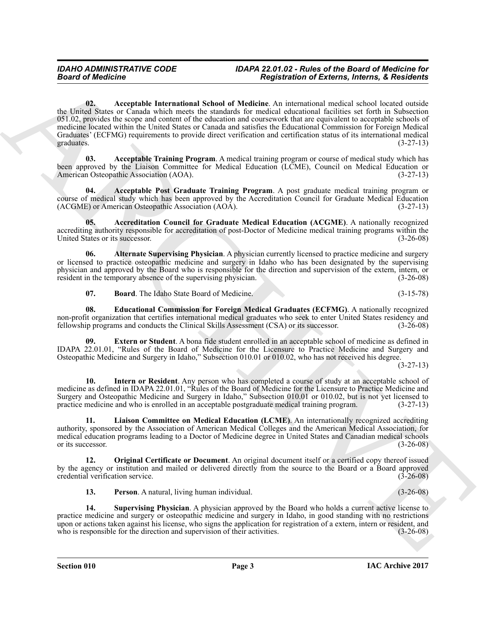#### <span id="page-2-0"></span>*IDAHO ADMINISTRATIVE CODE IDAPA 22.01.02 - Rules of the Board of Medicine for Board of Medicine Registration of Externs, Interns, & Residents*

Beard of Medicine<br>
163 (a) Medicine and Medicine (A) subsequent of Beating Medicine and Medicine and Medicine and Medicine and Medicine and Medicine and Medicine and Medicine and Medicine and Medicine and Medicine and Med **02. Acceptable International School of Medicine**. An international medical school located outside the United States or Canada which meets the standards for medical educational facilities set forth in Subsection 051.02, provides the scope and content of the education and coursework that are equivalent to acceptable schools of medicine located within the United States or Canada and satisfies the Educational Commission for Foreign Medical Graduates' (ECFMG) requirements to provide direct verification and certification status of its international medical graduates. (3-27-13) graduates.  $(3-27-13)$ 

<span id="page-2-2"></span>**03. Acceptable Training Program**. A medical training program or course of medical study which has been approved by the Liaison Committee for Medical Education (LCME), Council on Medical Education or American Osteopathic Association (AOA). (3-27-13)

<span id="page-2-1"></span>**04. Acceptable Post Graduate Training Program**. A post graduate medical training program or course of medical study which has been approved by the Accreditation Council for Graduate Medical Education (ACGME) or American Osteopathic Association (AOA). (3-27-13)

<span id="page-2-3"></span>**05. Accreditation Council for Graduate Medical Education (ACGME)**. A nationally recognized accrediting authority responsible for accreditation of post-Doctor of Medicine medical training programs within the United States or its successor. (3-26-08)

**06. Alternate Supervising Physician**. A physician currently licensed to practice medicine and surgery or licensed to practice osteopathic medicine and surgery in Idaho who has been designated by the supervising physician and approved by the Board who is responsible for the direction and supervision of the extern, intern, or resident in the temporary absence of the supervising physician. (3-26-08) resident in the temporary absence of the supervising physician.

<span id="page-2-7"></span><span id="page-2-6"></span><span id="page-2-5"></span><span id="page-2-4"></span>**07. Board**. The Idaho State Board of Medicine. (3-15-78)

**08. Educational Commission for Foreign Medical Graduates (ECFMG)**. A nationally recognized non-profit organization that certifies international medical graduates who seek to enter United States residency and fellowship programs and conducts the Clinical Skills Assessment (CSA) or its successor. (3-26-08) fellowship programs and conducts the Clinical Skills Assessment (CSA) or its successor.

**09. Extern or Student**. A bona fide student enrolled in an acceptable school of medicine as defined in IDAPA 22.01.01, "Rules of the Board of Medicine for the Licensure to Practice Medicine and Surgery and Osteopathic Medicine and Surgery in Idaho," Subsection 010.01 or 010.02, who has not received his degree.

(3-27-13)

<span id="page-2-8"></span>**10. Intern or Resident**. Any person who has completed a course of study at an acceptable school of medicine as defined in IDAPA 22.01.01, "Rules of the Board of Medicine for the Licensure to Practice Medicine and Surgery and Osteopathic Medicine and Surgery in Idaho," Subsection 010.01 or 010.02, but is not yet licensed to practice medicine and who is enrolled in an acceptable postgraduate medical training program. (3-27-13)

<span id="page-2-9"></span>**11. Liaison Committee on Medical Education (LCME)**. An internationally recognized accrediting authority, sponsored by the Association of American Medical Colleges and the American Medical Association, for medical education programs leading to a Doctor of Medicine degree in United States and Canadian medical schools<br>or its successor. (3-26-08) or its successor.

**12. Original Certificate or Document**. An original document itself or a certified copy thereof issued by the agency or institution and mailed or delivered directly from the source to the Board or a Board approved credential verification service. (3-26-08) credential verification service.

<span id="page-2-12"></span><span id="page-2-11"></span><span id="page-2-10"></span>**13. Person**. A natural, living human individual. (3-26-08)

**14. Supervising Physician**. A physician approved by the Board who holds a current active license to practice medicine and surgery or osteopathic medicine and surgery in Idaho, in good standing with no restrictions upon or actions taken against his license, who signs the application for registration of a extern, intern or resident, and who is responsible for the direction and supervision of their activities. (3-26-08) who is responsible for the direction and supervision of their activities.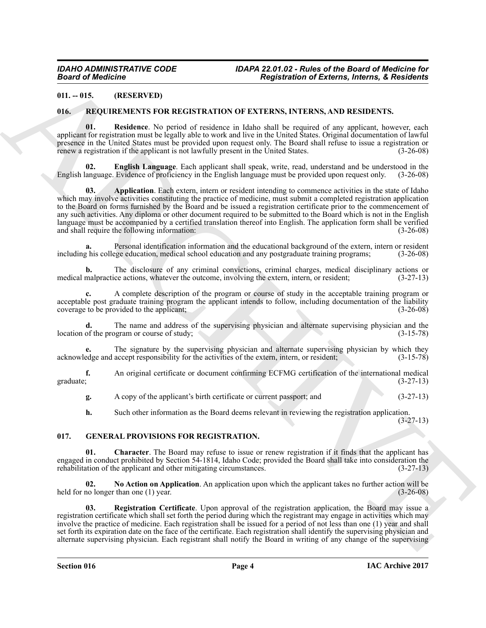#### <span id="page-3-0"></span>**011. -- 015. (RESERVED)**

#### <span id="page-3-7"></span><span id="page-3-1"></span>**016. REQUIREMENTS FOR REGISTRATION OF EXTERNS, INTERNS, AND RESIDENTS.**

<span id="page-3-10"></span>**01. Residence**. No period of residence in Idaho shall be required of any applicant, however, each applicant for registration must be legally able to work and live in the United States. Original documentation of lawful presence in the United States must be provided upon request only. The Board shall refuse to issue a registration or renew a registration if the applicant is not lawfully present in the United States. (3-26-08)

<span id="page-3-9"></span><span id="page-3-8"></span>**English Language**. Each applicant shall speak, write, read, understand and be understood in the English language. Evidence of proficiency in the English language must be provided upon request only. (3-26-08)

**EQUIDENTIFY AND INTERFERICULAR CONTENTATION OF EXTREMES INTERFERICULAR CONTENTS.**<br>
16. **45 (INERFERICULAR CONTENTS)**<br>
16. **45 (INERFERICULAR)**<br>
16. **45 (INERFERICULAR)**<br>
16. **45 (INERFERICULAR)**<br>
16. **45 (INERFERICULAR) 03. Application**. Each extern, intern or resident intending to commence activities in the state of Idaho which may involve activities constituting the practice of medicine, must submit a completed registration application to the Board on forms furnished by the Board and be issued a registration certificate prior to the commencement of any such activities. Any diploma or other document required to be submitted to the Board which is not in the English language must be accompanied by a certified translation thereof into English. The application form shall be verified and shall require the following information: (3-26-08) and shall require the following information:

Personal identification information and the educational background of the extern, intern or resident including his college education, medical school education and any postgraduate training programs; (3-26-08)

**b.** The disclosure of any criminal convictions, criminal charges, medical disciplinary actions or malpractice actions, whatever the outcome, involving the extern, intern, or resident; (3-27-13) medical malpractice actions, whatever the outcome, involving the extern, intern, or resident;

**c.** A complete description of the program or course of study in the acceptable training program or acceptable post graduate training program the applicant intends to follow, including documentation of the liability coverage to be provided to the applicant;<br>(3-26-08) coverage to be provided to the applicant;

**d.** The name and address of the supervising physician and alternate supervising physician and the of the program or course of study; (3-15-78) location of the program or course of study;

**e.** The signature by the supervising physician and alternate supervising physician by which they acknowledge and accept responsibility for the activities of the extern, intern, or resident; (3-15-78)

**f.** An original certificate or document confirming ECFMG certification of the international medical graduate; (3-27-13) graduate;  $(3-27-13)$ 

**g.** A copy of the applicant's birth certificate or current passport; and (3-27-13)

<span id="page-3-4"></span><span id="page-3-3"></span>**h.** Such other information as the Board deems relevant in reviewing the registration application.

(3-27-13)

#### <span id="page-3-2"></span>**017. GENERAL PROVISIONS FOR REGISTRATION.**

**Character**. The Board may refuse to issue or renew registration if it finds that the applicant has engaged in conduct prohibited by Section 54-1814, Idaho Code; provided the Board shall take into consideration the rehabilitation of the applicant and other mitigating circumstances. (3-27-13)

<span id="page-3-5"></span>**02.** No Action on Application. An application upon which the applicant takes no further action will be no longer than one (1) year. held for no longer than one  $(1)$  year.

<span id="page-3-6"></span>**03. Registration Certificate**. Upon approval of the registration application, the Board may issue a registration certificate which shall set forth the period during which the registrant may engage in activities which may involve the practice of medicine. Each registration shall be issued for a period of not less than one (1) year and shall set forth its expiration date on the face of the certificate. Each registration shall identify the supervising physician and alternate supervising physician. Each registrant shall notify the Board in writing of any change of the supervising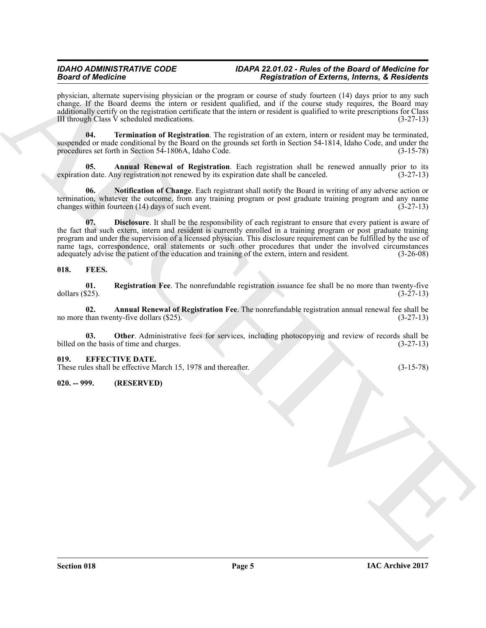#### *IDAHO ADMINISTRATIVE CODE IDAPA 22.01.02 - Rules of the Board of Medicine for Board of Medicine Registration of Externs, Interns, & Residents*

physician, alternate supervising physician or the program or course of study fourteen (14) days prior to any such change. If the Board deems the intern or resident qualified, and if the course study requires, the Board may additionally certify on the registration certificate that the intern or resident is qualified to write prescriptions for Class III through Class V scheduled medications.  $(3-27-13)$ 

<span id="page-4-10"></span>**04. Termination of Registration**. The registration of an extern, intern or resident may be terminated, suspended or made conditional by the Board on the grounds set forth in Section 54-1814, Idaho Code, and under the procedures set forth in Section 54-1806A, Idaho Code. (3-15-78)

<span id="page-4-7"></span>**Annual Renewal of Registration**. Each registration shall be renewed annually prior to its ny registration not renewed by its expiration date shall be canceled. (3-27-13) expiration date. Any registration not renewed by its expiration date shall be canceled.

<span id="page-4-9"></span><span id="page-4-8"></span>**06. Notification of Change**. Each registrant shall notify the Board in writing of any adverse action or termination, whatever the outcome, from any training program or post graduate training program and any name changes within fourteen (14) days of such event. (3-27-13)

**Solution of the statistics** of the statistics of the statistics of Editoric Microsoft and the statistics of the statistics of the statistics of the statistics of the statistics of the statistics of the statistics of the **07. Disclosure**. It shall be the responsibility of each registrant to ensure that every patient is aware of the fact that such extern, intern and resident is currently enrolled in a training program or post graduate training program and under the supervision of a licensed physician. This disclosure requirement can be fulfilled by the use of name tags, correspondence, oral statements or such other procedures that under the involved circumstances adequately advise the patient of the education and training of the extern, intern and resident. (3-26-08)

#### <span id="page-4-3"></span><span id="page-4-0"></span>**018. FEES.**

<span id="page-4-6"></span>**01. Registration Fee**. The nonrefundable registration issuance fee shall be no more than twenty-five dollars (\$25). (3-27-13)

<span id="page-4-4"></span>**02. Annual Renewal of Registration Fee**. The nonrefundable registration annual renewal fee shall be no more than twenty-five dollars  $(\$25)$ .

<span id="page-4-5"></span>**03.** Other. Administrative fees for services, including photocopying and review of records shall be the basis of time and charges. (3-27-13) billed on the basis of time and charges.

#### <span id="page-4-1"></span>**019. EFFECTIVE DATE.**

These rules shall be effective March 15, 1978 and thereafter. (3-15-78)

#### <span id="page-4-2"></span>**020. -- 999. (RESERVED)**